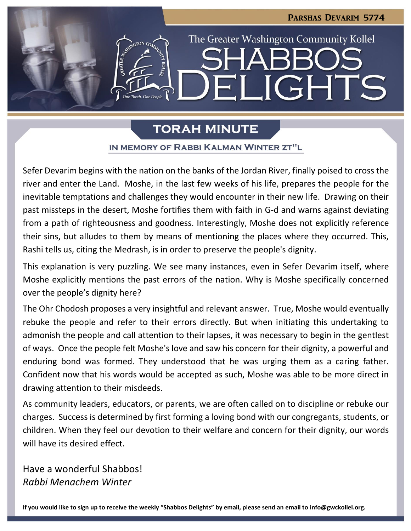

# **TORAH MINUTE**

## IN MEMORY OF RABBI KALMAN WINTER ZT"L

Sefer Devarim begins with the nation on the banks of the Jordan River, finally poised to cross the river and enter the Land. Moshe, in the last few weeks of his life, prepares the people for the inevitable temptations and challenges they would encounter in their new life. Drawing on their past missteps in the desert, Moshe fortifies them with faith in G-d and warns against deviating from a path of righteousness and goodness. Interestingly, Moshe does not explicitly reference their sins, but alludes to them by means of mentioning the places where they occurred. This, Rashi tells us, citing the Medrash, is in order to preserve the people's dignity.

This explanation is very puzzling. We see many instances, even in Sefer Devarim itself, where Moshe explicitly mentions the past errors of the nation. Why is Moshe specifically concerned over the people's dignity here?

The Ohr Chodosh proposes a very insightful and relevant answer. True, Moshe would eventually rebuke the people and refer to their errors directly. But when initiating this undertaking to admonish the people and call attention to their lapses, it was necessary to begin in the gentlest of ways. Once the people felt Moshe's love and saw his concern for their dignity, a powerful and enduring bond was formed. They understood that he was urging them as a caring father. Confident now that his words would be accepted as such, Moshe was able to be more direct in drawing attention to their misdeeds.

As community leaders, educators, or parents, we are often called on to discipline or rebuke our charges. Success is determined by first forming a loving bond with our congregants, students, or children. When they feel our devotion to their welfare and concern for their dignity, our words will have its desired effect.

Have a wonderful Shabbos! *Rabbi Menachem Winter*

**If you would like to sign up to receive the weekly "Shabbos Delights" by email, please send an email to [info@gwckollel.org.](mailto:info@gwckollel.org)**